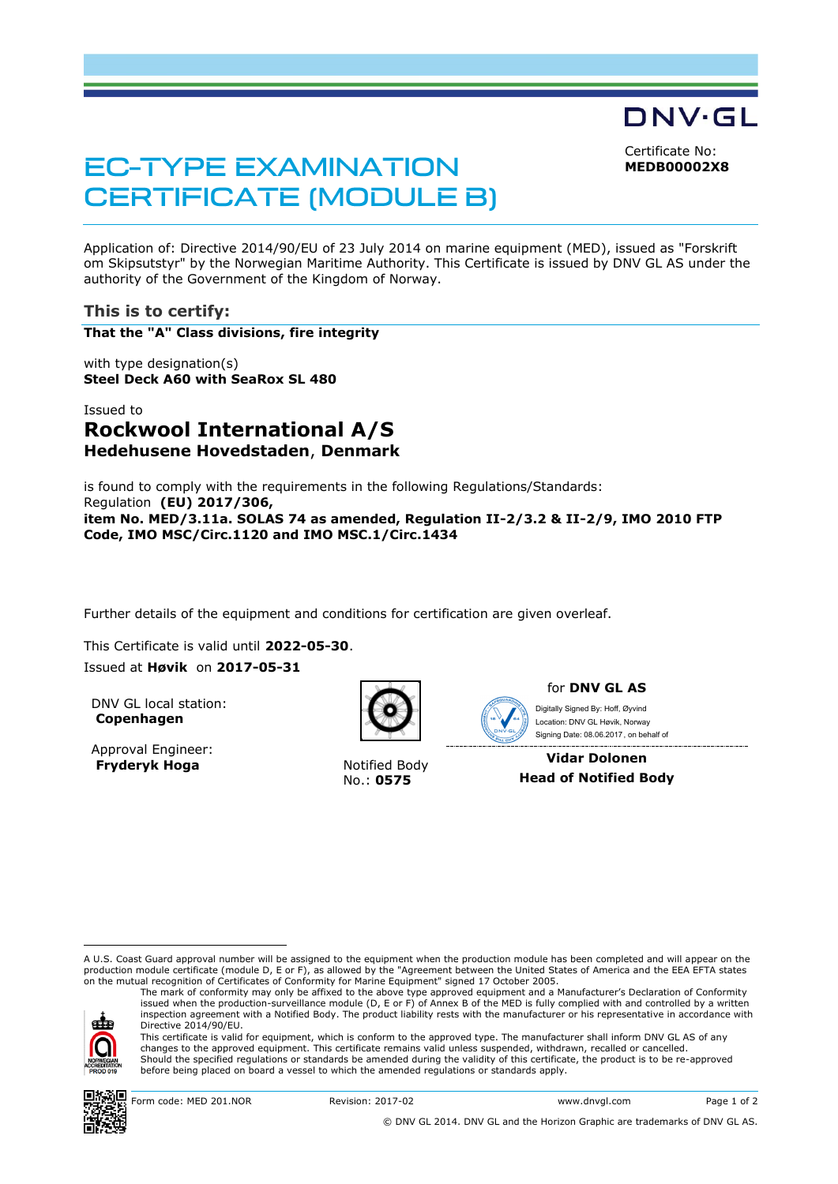Certificate No:

DNV·GL

**MEDB00002X8**

# **EC-TYPE EXAMINATION CERTIFICATE (MODULE B)**

Application of: Directive 2014/90/EU of 23 July 2014 on marine equipment (MED), issued as "Forskrift om Skipsutstyr" by the Norwegian Maritime Authority. This Certificate is issued by DNV GL AS under the authority of the Government of the Kingdom of Norway.

## **This is to certify:**

**That the "A" Class divisions, fire integrity**

with type designation(s) **Steel Deck A60 with SeaRox SL 480**

# Issued to **Rockwool International A/S Hedehusene Hovedstaden**, **Denmark**

is found to comply with the requirements in the following Regulations/Standards: Regulation **(EU) 2017/306, item No. MED/3.11a. SOLAS 74 as amended, Regulation II-2/3.2 & II-2/9, IMO 2010 FTP Code, IMO MSC/Circ.1120 and IMO MSC.1/Circ.1434**

Further details of the equipment and conditions for certification are given overleaf.

This Certificate is valid until **2022-05-30**. Issued at **Høvik** on **2017-05-31**

DNV GL local station: **Copenhagen**

Approval Engineer: **Fryderyk Hoga** Notified Body



No.: **0575**



for **DNV GL AS**

 Signing Date: 08.06.2017 , on behalf ofDigitally Signed By: Hoff, Øyvind Location: DNV GL Høvik, Norway

**Vidar Dolonen Head of Notified Body**

A U.S. Coast Guard approval number will be assigned to the equipment when the production module has been completed and will appear on the production module certificate (module D, E or F), as allowed by the "Agreement between the United States of America and the EEA EFTA states on the mutual recognition of Certificates of Conformity for Marine Equipment" signed 17 October 2005.

ele

ı

inspection agreement with a Notified Body. The product liability rests with the manufacturer or his representative in accordance with Directive 2014/90/EU. This certificate is valid for equipment, which is conform to the approved type. The manufacturer shall inform DNV GL AS of any changes to the approved equipment. This certificate remains valid unless suspended, withdrawn, recalled or cancelled. Should the specified regulations or standards be amended during the validity of this certificate, the product is to be re-approved before being placed on board a vessel to which the amended regulations or standards apply.

The mark of conformity may only be affixed to the above type approved equipment and a Manufacturer's Declaration of Conformity<br>issued when the production-surveillance module (D, E or F) of Annex B of the MED is fully compl



Form code: MED 201.NOR Revision: 2017-02 www.dnvgl.com Page 1 of 2

© DNV GL 2014. DNV GL and the Horizon Graphic are trademarks of DNV GL AS.